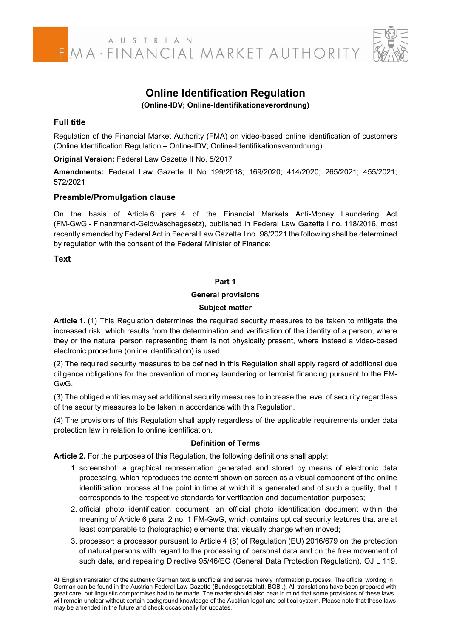### **Online Identification Regulation**

**(Online-IDV; Online-Identifikationsverordnung)** 

#### **Full title**

Regulation of the Financial Market Authority (FMA) on video-based online identification of customers (Online Identification Regulation – Online-IDV; Online-Identifikationsverordnung)

**Original Version:** Federal Law Gazette II No. 5/2017

**Amendments:** Federal Law Gazette II No. 199/2018; 169/2020; 414/2020; 265/2021; 455/2021; 572/2021

#### **Preamble/Promulgation clause**

On the basis of Article 6 para. 4 of the Financial Markets Anti-Money Laundering Act (FM-GwG - Finanzmarkt-Geldwäschegesetz), published in Federal Law Gazette I no. 118/2016, most recently amended by Federal Act in Federal Law Gazette I no. 98/2021 the following shall be determined by regulation with the consent of the Federal Minister of Finance:

#### **Text**

#### **Part 1**

#### **General provisions**

#### **Subject matter**

**Article 1.** (1) This Regulation determines the required security measures to be taken to mitigate the increased risk, which results from the determination and verification of the identity of a person, where they or the natural person representing them is not physically present, where instead a video-based electronic procedure (online identification) is used.

(2) The required security measures to be defined in this Regulation shall apply regard of additional due diligence obligations for the prevention of money laundering or terrorist financing pursuant to the FM-GwG.

(3) The obliged entities may set additional security measures to increase the level of security regardless of the security measures to be taken in accordance with this Regulation.

(4) The provisions of this Regulation shall apply regardless of the applicable requirements under data protection law in relation to online identification.

#### **Definition of Terms**

**Article 2.** For the purposes of this Regulation, the following definitions shall apply:

- 1. screenshot: a graphical representation generated and stored by means of electronic data processing, which reproduces the content shown on screen as a visual component of the online identification process at the point in time at which it is generated and of such a quality, that it corresponds to the respective standards for verification and documentation purposes;
- 2. official photo identification document: an official photo identification document within the meaning of Article 6 para. 2 no. 1 FM-GwG, which contains optical security features that are at least comparable to (holographic) elements that visually change when moved;
- 3. processor: a processor pursuant to Article 4 (8) of Regulation (EU) 2016/679 on the protection of natural persons with regard to the processing of personal data and on the free movement of such data, and repealing Directive 95/46/EC (General Data Protection Regulation), OJ L 119,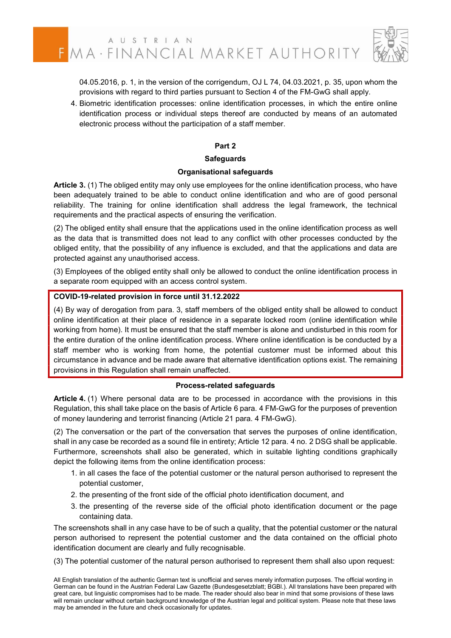04.05.2016, p. 1, in the version of the corrigendum, OJ L 74, 04.03.2021, p. 35, upon whom the provisions with regard to third parties pursuant to Section 4 of the FM-GwG shall apply.

 4. Biometric identification processes: online identification processes, in which the entire online identification process or individual steps thereof are conducted by means of an automated electronic process without the participation of a staff member.

#### **Part 2**

#### **Safeguards**

#### **Organisational safeguards**

**Article 3.** (1) The obliged entity may only use employees for the online identification process, who have been adequately trained to be able to conduct online identification and who are of good personal reliability. The training for online identification shall address the legal framework, the technical requirements and the practical aspects of ensuring the verification.

(2) The obliged entity shall ensure that the applications used in the online identification process as well as the data that is transmitted does not lead to any conflict with other processes conducted by the obliged entity, that the possibility of any influence is excluded, and that the applications and data are protected against any unauthorised access.

(3) Employees of the obliged entity shall only be allowed to conduct the online identification process in a separate room equipped with an access control system.

#### **COVID-19-related provision in force until 31.12.2022**

(4) By way of derogation from para. 3, staff members of the obliged entity shall be allowed to conduct online identification at their place of residence in a separate locked room (online identification while working from home). It must be ensured that the staff member is alone and undisturbed in this room for the entire duration of the online identification process. Where online identification is be conducted by a staff member who is working from home, the potential customer must be informed about this circumstance in advance and be made aware that alternative identification options exist. The remaining provisions in this Regulation shall remain unaffected.

#### **Process-related safeguards**

**Article 4.** (1) Where personal data are to be processed in accordance with the provisions in this Regulation, this shall take place on the basis of Article 6 para. 4 FM-GwG for the purposes of prevention of money laundering and terrorist financing (Article 21 para. 4 FM-GwG).

(2) The conversation or the part of the conversation that serves the purposes of online identification, shall in any case be recorded as a sound file in entirety; Article 12 para. 4 no. 2 DSG shall be applicable. Furthermore, screenshots shall also be generated, which in suitable lighting conditions graphically depict the following items from the online identification process:

- 1. in all cases the face of the potential customer or the natural person authorised to represent the potential customer,
- 2. the presenting of the front side of the official photo identification document, and
- 3. the presenting of the reverse side of the official photo identification document or the page containing data.

The screenshots shall in any case have to be of such a quality, that the potential customer or the natural person authorised to represent the potential customer and the data contained on the official photo identification document are clearly and fully recognisable.

(3) The potential customer of the natural person authorised to represent them shall also upon request:

All English translation of the authentic German text is unofficial and serves merely information purposes. The official wording in German can be found in the Austrian Federal Law Gazette (Bundesgesetzblatt; BGBl.). All translations have been prepared with great care, but linguistic compromises had to be made. The reader should also bear in mind that some provisions of these laws will remain unclear without certain background knowledge of the Austrian legal and political system. Please note that these laws may be amended in the future and check occasionally for updates.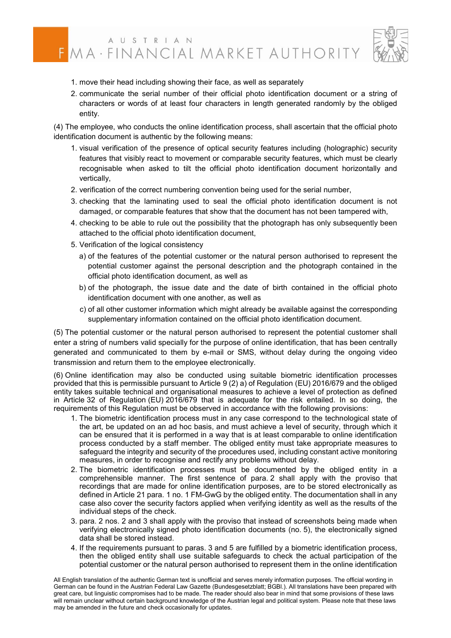## FMA · FINANCIAL MARKET AUTHORITY



- 1. move their head including showing their face, as well as separately
- 2. communicate the serial number of their official photo identification document or a string of characters or words of at least four characters in length generated randomly by the obliged entity.

(4) The employee, who conducts the online identification process, shall ascertain that the official photo identification document is authentic by the following means:

- 1. visual verification of the presence of optical security features including (holographic) security features that visibly react to movement or comparable security features, which must be clearly recognisable when asked to tilt the official photo identification document horizontally and vertically,
- 2. verification of the correct numbering convention being used for the serial number,
- 3. checking that the laminating used to seal the official photo identification document is not damaged, or comparable features that show that the document has not been tampered with,
- 4. checking to be able to rule out the possibility that the photograph has only subsequently been attached to the official photo identification document,
- 5. Verification of the logical consistency
	- a) of the features of the potential customer or the natural person authorised to represent the potential customer against the personal description and the photograph contained in the official photo identification document, as well as
	- b) of the photograph, the issue date and the date of birth contained in the official photo identification document with one another, as well as
	- c) of all other customer information which might already be available against the corresponding supplementary information contained on the official photo identification document.

(5) The potential customer or the natural person authorised to represent the potential customer shall enter a string of numbers valid specially for the purpose of online identification, that has been centrally generated and communicated to them by e-mail or SMS, without delay during the ongoing video transmission and return them to the employee electronically.

(6) Online identification may also be conducted using suitable biometric identification processes provided that this is permissible pursuant to Article 9 (2) a) of Regulation (EU) 2016/679 and the obliged entity takes suitable technical and organisational measures to achieve a level of protection as defined in Article 32 of Regulation (EU) 2016/679 that is adequate for the risk entailed. In so doing, the requirements of this Regulation must be observed in accordance with the following provisions:

- 1. The biometric identification process must in any case correspond to the technological state of the art, be updated on an ad hoc basis, and must achieve a level of security, through which it can be ensured that it is performed in a way that is at least comparable to online identification process conducted by a staff member. The obliged entity must take appropriate measures to safeguard the integrity and security of the procedures used, including constant active monitoring measures, in order to recognise and rectify any problems without delay.
- 2. The biometric identification processes must be documented by the obliged entity in a comprehensible manner. The first sentence of para. 2 shall apply with the proviso that recordings that are made for online identification purposes, are to be stored electronically as defined in Article 21 para. 1 no. 1 FM-GwG by the obliged entity. The documentation shall in any case also cover the security factors applied when verifying identity as well as the results of the individual steps of the check.
- 3. para. 2 nos. 2 and 3 shall apply with the proviso that instead of screenshots being made when verifying electronically signed photo identification documents (no. 5), the electronically signed data shall be stored instead.
- 4. If the requirements pursuant to paras. 3 and 5 are fulfilled by a biometric identification process, then the obliged entity shall use suitable safeguards to check the actual participation of the potential customer or the natural person authorised to represent them in the online identification

All English translation of the authentic German text is unofficial and serves merely information purposes. The official wording in German can be found in the Austrian Federal Law Gazette (Bundesgesetzblatt; BGBI.). All translations have been prepared with great care, but linguistic compromises had to be made. The reader should also bear in mind that some provisions of these laws will remain unclear without certain background knowledge of the Austrian legal and political system. Please note that these laws may be amended in the future and check occasionally for updates.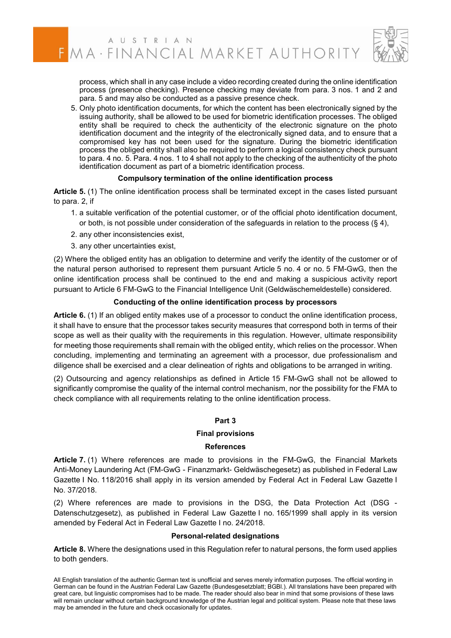

process, which shall in any case include a video recording created during the online identification process (presence checking). Presence checking may deviate from para. 3 nos. 1 and 2 and para. 5 and may also be conducted as a passive presence check.

 5. Only photo identification documents, for which the content has been electronically signed by the issuing authority, shall be allowed to be used for biometric identification processes. The obliged entity shall be required to check the authenticity of the electronic signature on the photo identification document and the integrity of the electronically signed data, and to ensure that a compromised key has not been used for the signature. During the biometric identification process the obliged entity shall also be required to perform a logical consistency check pursuant to para. 4 no. 5. Para. 4 nos. 1 to 4 shall not apply to the checking of the authenticity of the photo identification document as part of a biometric identification process.

#### **Compulsory termination of the online identification process**

**Article 5.** (1) The online identification process shall be terminated except in the cases listed pursuant to para. 2, if

- 1. a suitable verification of the potential customer, or of the official photo identification document, or both, is not possible under consideration of the safeguards in relation to the process  $(§ 4)$ ,
- 2. any other inconsistencies exist,
- 3. any other uncertainties exist,

(2) Where the obliged entity has an obligation to determine and verify the identity of the customer or of the natural person authorised to represent them pursuant Article 5 no. 4 or no. 5 FM-GwG, then the online identification process shall be continued to the end and making a suspicious activity report pursuant to Article 6 FM-GwG to the Financial Intelligence Unit (Geldwäschemeldestelle) considered.

#### **Conducting of the online identification process by processors**

**Article 6.** (1) If an obliged entity makes use of a processor to conduct the online identification process, it shall have to ensure that the processor takes security measures that correspond both in terms of their scope as well as their quality with the requirements in this regulation. However, ultimate responsibility for meeting those requirements shall remain with the obliged entity, which relies on the processor. When concluding, implementing and terminating an agreement with a processor, due professionalism and diligence shall be exercised and a clear delineation of rights and obligations to be arranged in writing.

(2) Outsourcing and agency relationships as defined in Article 15 FM-GwG shall not be allowed to significantly compromise the quality of the internal control mechanism, nor the possibility for the FMA to check compliance with all requirements relating to the online identification process.

#### **Part 3**

#### **Final provisions**

#### **References**

**Article 7.** (1) Where references are made to provisions in the FM-GwG, the Financial Markets Anti-Money Laundering Act (FM-GwG - Finanzmarkt- Geldwäschegesetz) as published in Federal Law Gazette I No. 118/2016 shall apply in its version amended by Federal Act in Federal Law Gazette I No. 37/2018.

(2) Where references are made to provisions in the DSG, the Data Protection Act (DSG - Datenschutzgesetz), as published in Federal Law Gazette I no. 165/1999 shall apply in its version amended by Federal Act in Federal Law Gazette I no. 24/2018.

#### **Personal-related designations**

**Article 8.** Where the designations used in this Regulation refer to natural persons, the form used applies to both genders.

All English translation of the authentic German text is unofficial and serves merely information purposes. The official wording in German can be found in the Austrian Federal Law Gazette (Bundesgesetzblatt; BGBl.). All translations have been prepared with great care, but linguistic compromises had to be made. The reader should also bear in mind that some provisions of these laws will remain unclear without certain background knowledge of the Austrian legal and political system. Please note that these laws may be amended in the future and check occasionally for updates.